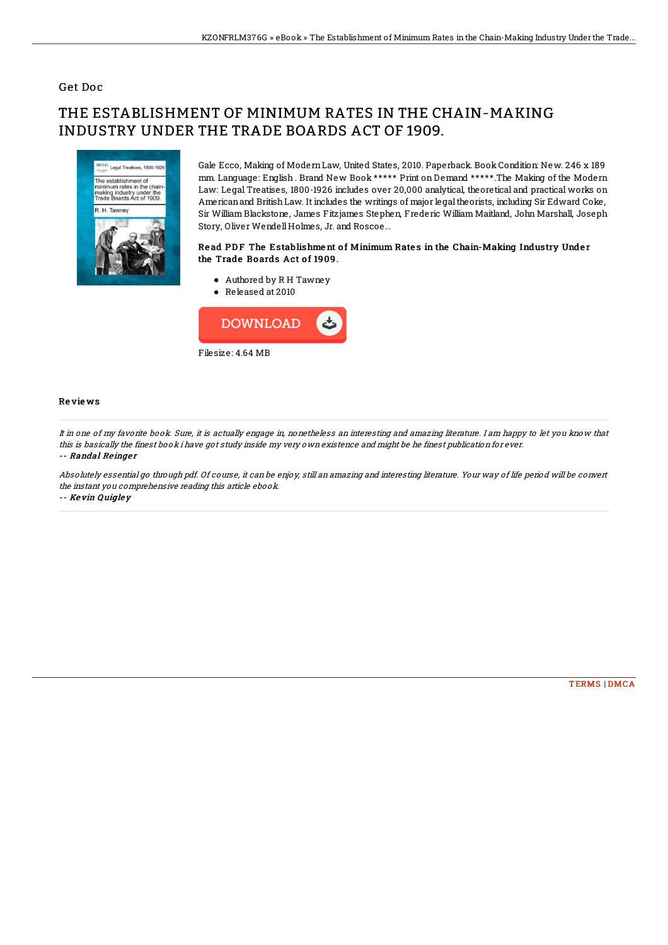### Get Doc

# THE ESTABLISHMENT OF MINIMUM RATES IN THE CHAIN-MAKING INDUSTRY UNDER THE TRADE BOARDS ACT OF 1909.



Gale Ecco, Making of ModernLaw, United States, 2010. Paperback. Book Condition: New. 246 x 189 mm. Language: English . Brand New Book \*\*\*\*\* Print on Demand \*\*\*\*\*.The Making of the Modern Law: Legal Treatises, 1800-1926 includes over 20,000 analytical, theoretical and practical works on Americanand BritishLaw. It includes the writings of major legaltheorists, including Sir Edward Coke, Sir William Blackstone, James Fitzjames Stephen, Frederic William Maitland, John Marshall, Joseph Story, Oliver WendellHolmes, Jr. and Roscoe...

#### Read PDF The Establishment of Minimum Rates in the Chain-Making Industry Under the Trade Boards Act of 1909.

- Authored by R H Tawney
- Released at 2010



#### Re vie ws

It in one of my favorite book. Sure, it is actually engage in, nonetheless an interesting and amazing literature. I am happy to let you know that this is basically the finest book i have got study inside my very own existence and might be he finest publication for ever. -- Randal Reinger

Absolutely essential go through pdf. Of course, it can be enjoy, still an amazing and interesting literature. Your way of life period will be convert the instant you comprehensive reading this article ebook. -- Ke vin Quigle y